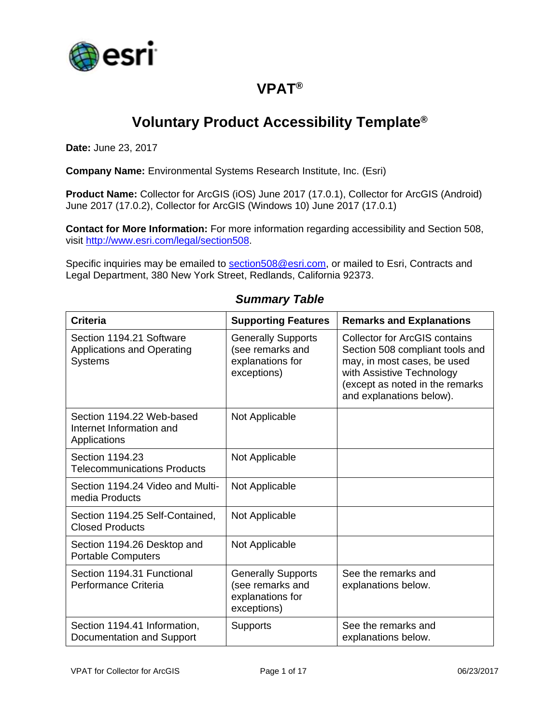

# **VPAT®**

# **Voluntary Product Accessibility Template®**

**Date:** June 23, 2017

**Company Name:** Environmental Systems Research Institute, Inc. (Esri)

**Product Name:** Collector for ArcGIS (iOS) June 2017 (17.0.1), Collector for ArcGIS (Android) June 2017 (17.0.2), Collector for ArcGIS (Windows 10) June 2017 (17.0.1)

**Contact for More Information:** For more information regarding accessibility and Section 508, visit [http://www.esri.com/legal/section508.](http://www.esri.com/legal/section508)

Specific inquiries may be emailed to [section508@esri.com,](mailto:section508@esri.com) or mailed to Esri, Contracts and Legal Department, 380 New York Street, Redlands, California 92373.

| <b>Criteria</b>                                                                 | <b>Supporting Features</b>                                                       | <b>Remarks and Explanations</b>                                                                                                                                                                    |
|---------------------------------------------------------------------------------|----------------------------------------------------------------------------------|----------------------------------------------------------------------------------------------------------------------------------------------------------------------------------------------------|
| Section 1194.21 Software<br><b>Applications and Operating</b><br><b>Systems</b> | <b>Generally Supports</b><br>(see remarks and<br>explanations for<br>exceptions) | <b>Collector for ArcGIS contains</b><br>Section 508 compliant tools and<br>may, in most cases, be used<br>with Assistive Technology<br>(except as noted in the remarks<br>and explanations below). |
| Section 1194.22 Web-based<br>Internet Information and<br>Applications           | Not Applicable                                                                   |                                                                                                                                                                                                    |
| Section 1194.23<br><b>Telecommunications Products</b>                           | Not Applicable                                                                   |                                                                                                                                                                                                    |
| Section 1194.24 Video and Multi-<br>media Products                              | Not Applicable                                                                   |                                                                                                                                                                                                    |
| Section 1194.25 Self-Contained,<br><b>Closed Products</b>                       | Not Applicable                                                                   |                                                                                                                                                                                                    |
| Section 1194.26 Desktop and<br><b>Portable Computers</b>                        | Not Applicable                                                                   |                                                                                                                                                                                                    |
| Section 1194.31 Functional<br>Performance Criteria                              | <b>Generally Supports</b><br>(see remarks and<br>explanations for<br>exceptions) | See the remarks and<br>explanations below.                                                                                                                                                         |
| Section 1194.41 Information,<br>Documentation and Support                       | <b>Supports</b>                                                                  | See the remarks and<br>explanations below.                                                                                                                                                         |

#### *Summary Table*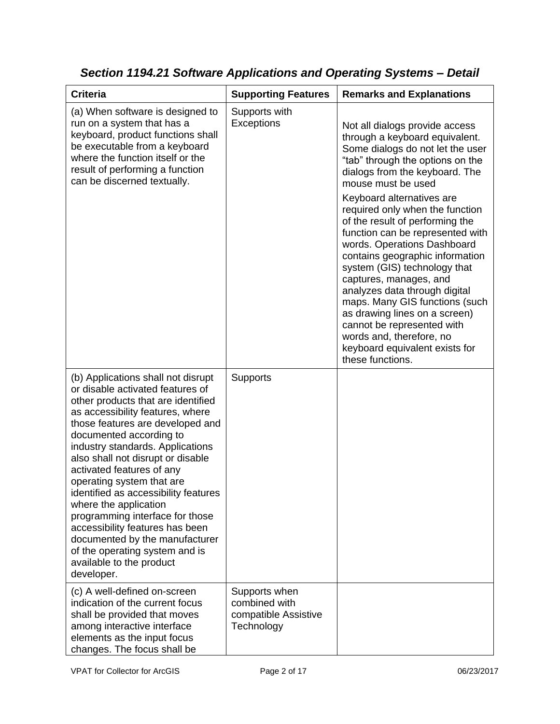| <b>Criteria</b>                                                                                                                                                                                                                                                                                                                                                                                                                                                                                                                                                                                         | <b>Supporting Features</b>                                           | <b>Remarks and Explanations</b>                                                                                                                                                                                                                                                                                                                                                                                                                                                                                                                                                                                                                                                         |
|---------------------------------------------------------------------------------------------------------------------------------------------------------------------------------------------------------------------------------------------------------------------------------------------------------------------------------------------------------------------------------------------------------------------------------------------------------------------------------------------------------------------------------------------------------------------------------------------------------|----------------------------------------------------------------------|-----------------------------------------------------------------------------------------------------------------------------------------------------------------------------------------------------------------------------------------------------------------------------------------------------------------------------------------------------------------------------------------------------------------------------------------------------------------------------------------------------------------------------------------------------------------------------------------------------------------------------------------------------------------------------------------|
| (a) When software is designed to<br>run on a system that has a<br>keyboard, product functions shall<br>be executable from a keyboard<br>where the function itself or the<br>result of performing a function<br>can be discerned textually.                                                                                                                                                                                                                                                                                                                                                              | Supports with<br>Exceptions                                          | Not all dialogs provide access<br>through a keyboard equivalent.<br>Some dialogs do not let the user<br>"tab" through the options on the<br>dialogs from the keyboard. The<br>mouse must be used<br>Keyboard alternatives are<br>required only when the function<br>of the result of performing the<br>function can be represented with<br>words. Operations Dashboard<br>contains geographic information<br>system (GIS) technology that<br>captures, manages, and<br>analyzes data through digital<br>maps. Many GIS functions (such<br>as drawing lines on a screen)<br>cannot be represented with<br>words and, therefore, no<br>keyboard equivalent exists for<br>these functions. |
| (b) Applications shall not disrupt<br>or disable activated features of<br>other products that are identified<br>as accessibility features, where<br>those features are developed and<br>documented according to<br>industry standards. Applications<br>also shall not disrupt or disable<br>activated features of any<br>operating system that are<br>identified as accessibility features<br>where the application<br>programming interface for those<br>accessibility features has been<br>documented by the manufacturer<br>of the operating system and is<br>available to the product<br>developer. | Supports                                                             |                                                                                                                                                                                                                                                                                                                                                                                                                                                                                                                                                                                                                                                                                         |
| (c) A well-defined on-screen<br>indication of the current focus<br>shall be provided that moves<br>among interactive interface<br>elements as the input focus<br>changes. The focus shall be                                                                                                                                                                                                                                                                                                                                                                                                            | Supports when<br>combined with<br>compatible Assistive<br>Technology |                                                                                                                                                                                                                                                                                                                                                                                                                                                                                                                                                                                                                                                                                         |

*Section 1194.21 Software Applications and Operating Systems – Detail*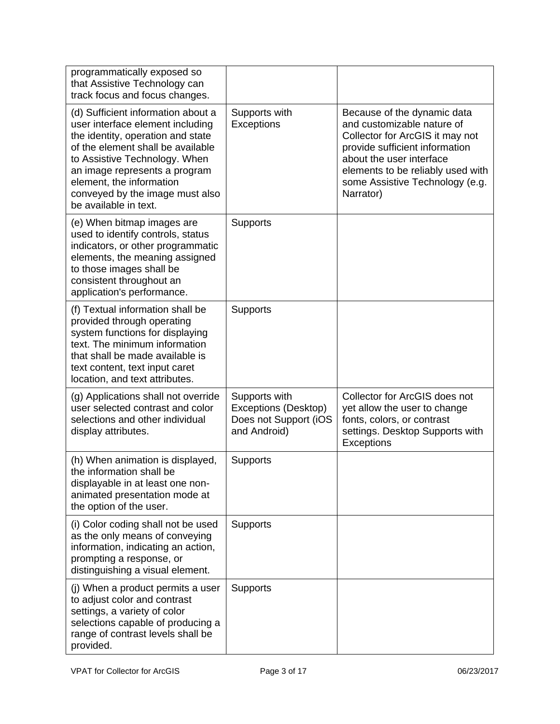| programmatically exposed so<br>that Assistive Technology can<br>track focus and focus changes.                                                                                                                                                                                                             |                                                                                |                                                                                                                                                                                                                                                 |
|------------------------------------------------------------------------------------------------------------------------------------------------------------------------------------------------------------------------------------------------------------------------------------------------------------|--------------------------------------------------------------------------------|-------------------------------------------------------------------------------------------------------------------------------------------------------------------------------------------------------------------------------------------------|
| (d) Sufficient information about a<br>user interface element including<br>the identity, operation and state<br>of the element shall be available<br>to Assistive Technology. When<br>an image represents a program<br>element, the information<br>conveyed by the image must also<br>be available in text. | Supports with<br>Exceptions                                                    | Because of the dynamic data<br>and customizable nature of<br>Collector for ArcGIS it may not<br>provide sufficient information<br>about the user interface<br>elements to be reliably used with<br>some Assistive Technology (e.g.<br>Narrator) |
| (e) When bitmap images are<br>used to identify controls, status<br>indicators, or other programmatic<br>elements, the meaning assigned<br>to those images shall be<br>consistent throughout an<br>application's performance.                                                                               | Supports                                                                       |                                                                                                                                                                                                                                                 |
| (f) Textual information shall be<br>provided through operating<br>system functions for displaying<br>text. The minimum information<br>that shall be made available is<br>text content, text input caret<br>location, and text attributes.                                                                  | Supports                                                                       |                                                                                                                                                                                                                                                 |
| (g) Applications shall not override<br>user selected contrast and color<br>selections and other individual<br>display attributes.                                                                                                                                                                          | Supports with<br>Exceptions (Desktop)<br>Does not Support (iOS<br>and Android) | Collector for ArcGIS does not<br>yet allow the user to change<br>fonts, colors, or contrast<br>settings. Desktop Supports with<br>Exceptions                                                                                                    |
| (h) When animation is displayed,<br>the information shall be<br>displayable in at least one non-<br>animated presentation mode at<br>the option of the user.                                                                                                                                               | Supports                                                                       |                                                                                                                                                                                                                                                 |
| (i) Color coding shall not be used<br>as the only means of conveying<br>information, indicating an action,<br>prompting a response, or<br>distinguishing a visual element.                                                                                                                                 | Supports                                                                       |                                                                                                                                                                                                                                                 |
| (j) When a product permits a user<br>to adjust color and contrast<br>settings, a variety of color<br>selections capable of producing a<br>range of contrast levels shall be<br>provided.                                                                                                                   | Supports                                                                       |                                                                                                                                                                                                                                                 |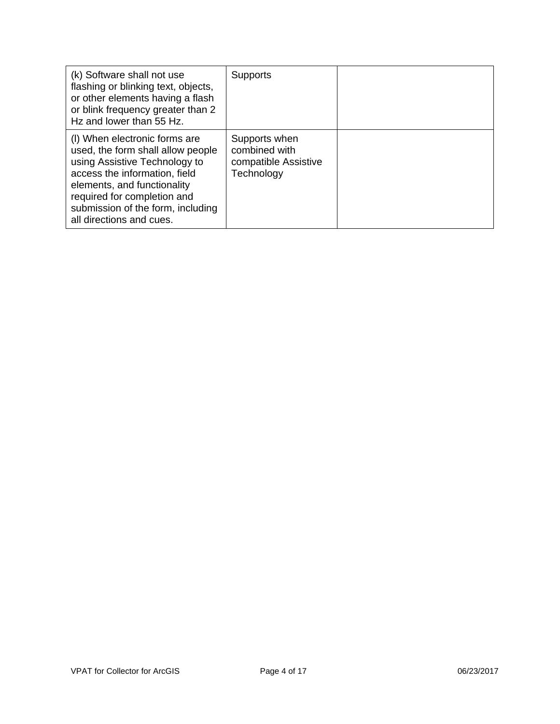| (k) Software shall not use<br>flashing or blinking text, objects,<br>or other elements having a flash<br>or blink frequency greater than 2<br>Hz and lower than 55 Hz.                                                                                              | <b>Supports</b>                                                      |  |
|---------------------------------------------------------------------------------------------------------------------------------------------------------------------------------------------------------------------------------------------------------------------|----------------------------------------------------------------------|--|
| (I) When electronic forms are<br>used, the form shall allow people<br>using Assistive Technology to<br>access the information, field<br>elements, and functionality<br>required for completion and<br>submission of the form, including<br>all directions and cues. | Supports when<br>combined with<br>compatible Assistive<br>Technology |  |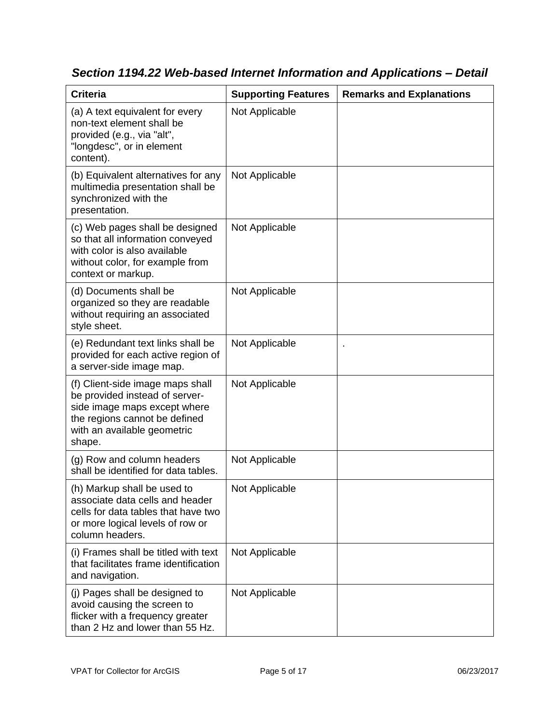| <b>Criteria</b>                                                                                                                                                              | <b>Supporting Features</b> | <b>Remarks and Explanations</b> |
|------------------------------------------------------------------------------------------------------------------------------------------------------------------------------|----------------------------|---------------------------------|
| (a) A text equivalent for every<br>non-text element shall be<br>provided (e.g., via "alt",<br>"longdesc", or in element<br>content).                                         | Not Applicable             |                                 |
| (b) Equivalent alternatives for any<br>multimedia presentation shall be<br>synchronized with the<br>presentation.                                                            | Not Applicable             |                                 |
| (c) Web pages shall be designed<br>so that all information conveyed<br>with color is also available<br>without color, for example from<br>context or markup.                 | Not Applicable             |                                 |
| (d) Documents shall be<br>organized so they are readable<br>without requiring an associated<br>style sheet.                                                                  | Not Applicable             |                                 |
| (e) Redundant text links shall be<br>provided for each active region of<br>a server-side image map.                                                                          | Not Applicable             |                                 |
| (f) Client-side image maps shall<br>be provided instead of server-<br>side image maps except where<br>the regions cannot be defined<br>with an available geometric<br>shape. | Not Applicable             |                                 |
| (g) Row and column headers<br>shall be identified for data tables.                                                                                                           | Not Applicable             |                                 |
| (h) Markup shall be used to<br>associate data cells and header<br>cells for data tables that have two<br>or more logical levels of row or<br>column headers.                 | Not Applicable             |                                 |
| (i) Frames shall be titled with text<br>that facilitates frame identification<br>and navigation.                                                                             | Not Applicable             |                                 |
| (j) Pages shall be designed to<br>avoid causing the screen to<br>flicker with a frequency greater<br>than 2 Hz and lower than 55 Hz.                                         | Not Applicable             |                                 |

*Section 1194.22 Web-based Internet Information and Applications – Detail*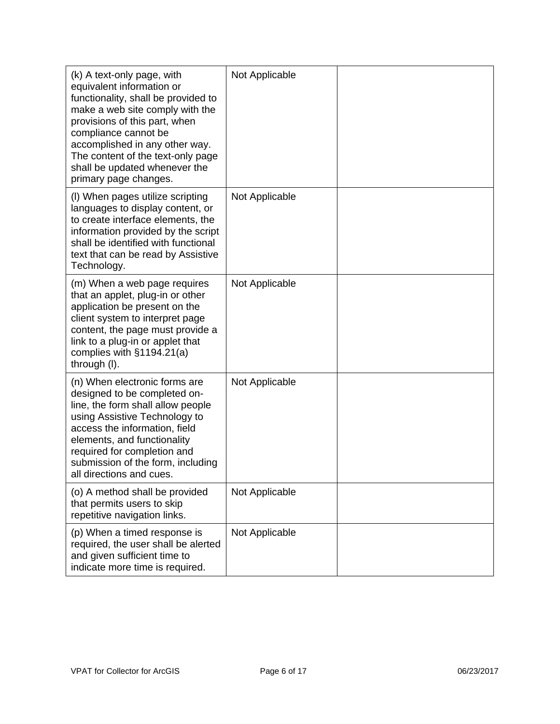| (k) A text-only page, with<br>equivalent information or<br>functionality, shall be provided to<br>make a web site comply with the<br>provisions of this part, when<br>compliance cannot be<br>accomplished in any other way.<br>The content of the text-only page<br>shall be updated whenever the<br>primary page changes. | Not Applicable |  |
|-----------------------------------------------------------------------------------------------------------------------------------------------------------------------------------------------------------------------------------------------------------------------------------------------------------------------------|----------------|--|
| (I) When pages utilize scripting<br>languages to display content, or<br>to create interface elements, the<br>information provided by the script<br>shall be identified with functional<br>text that can be read by Assistive<br>Technology.                                                                                 | Not Applicable |  |
| (m) When a web page requires<br>that an applet, plug-in or other<br>application be present on the<br>client system to interpret page<br>content, the page must provide a<br>link to a plug-in or applet that<br>complies with $§1194.21(a)$<br>through (I).                                                                 | Not Applicable |  |
| (n) When electronic forms are<br>designed to be completed on-<br>line, the form shall allow people<br>using Assistive Technology to<br>access the information, field<br>elements, and functionality<br>required for completion and<br>submission of the form, including<br>all directions and cues.                         | Not Applicable |  |
| (o) A method shall be provided<br>that permits users to skip<br>repetitive navigation links.                                                                                                                                                                                                                                | Not Applicable |  |
| (p) When a timed response is<br>required, the user shall be alerted<br>and given sufficient time to<br>indicate more time is required.                                                                                                                                                                                      | Not Applicable |  |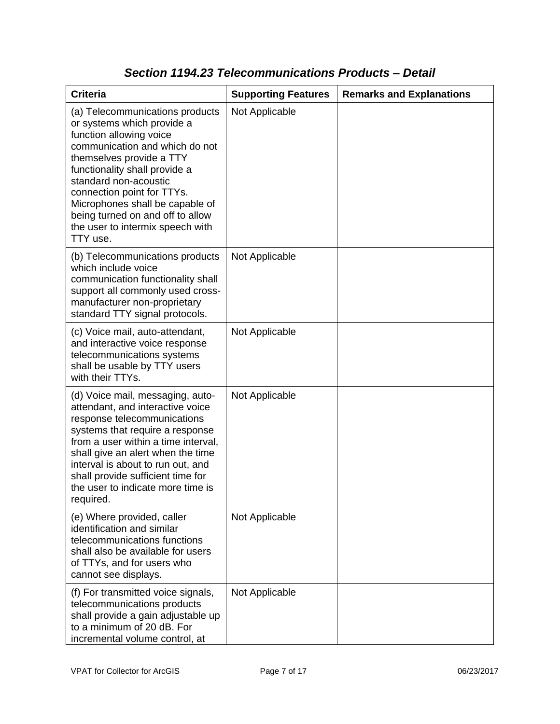| <b>Criteria</b>                                                                                                                                                                                                                                                                                                                                                       | <b>Supporting Features</b> | <b>Remarks and Explanations</b> |
|-----------------------------------------------------------------------------------------------------------------------------------------------------------------------------------------------------------------------------------------------------------------------------------------------------------------------------------------------------------------------|----------------------------|---------------------------------|
| (a) Telecommunications products<br>or systems which provide a<br>function allowing voice<br>communication and which do not<br>themselves provide a TTY<br>functionality shall provide a<br>standard non-acoustic<br>connection point for TTYs.<br>Microphones shall be capable of<br>being turned on and off to allow<br>the user to intermix speech with<br>TTY use. | Not Applicable             |                                 |
| (b) Telecommunications products<br>which include voice<br>communication functionality shall<br>support all commonly used cross-<br>manufacturer non-proprietary<br>standard TTY signal protocols.                                                                                                                                                                     | Not Applicable             |                                 |
| (c) Voice mail, auto-attendant,<br>and interactive voice response<br>telecommunications systems<br>shall be usable by TTY users<br>with their TTYs.                                                                                                                                                                                                                   | Not Applicable             |                                 |
| (d) Voice mail, messaging, auto-<br>attendant, and interactive voice<br>response telecommunications<br>systems that require a response<br>from a user within a time interval,<br>shall give an alert when the time<br>interval is about to run out, and<br>shall provide sufficient time for<br>the user to indicate more time is<br>required.                        | Not Applicable             |                                 |
| (e) Where provided, caller<br>identification and similar<br>telecommunications functions<br>shall also be available for users<br>of TTYs, and for users who<br>cannot see displays.                                                                                                                                                                                   | Not Applicable             |                                 |
| (f) For transmitted voice signals,<br>telecommunications products<br>shall provide a gain adjustable up<br>to a minimum of 20 dB. For<br>incremental volume control, at                                                                                                                                                                                               | Not Applicable             |                                 |

### *Section 1194.23 Telecommunications Products – Detail*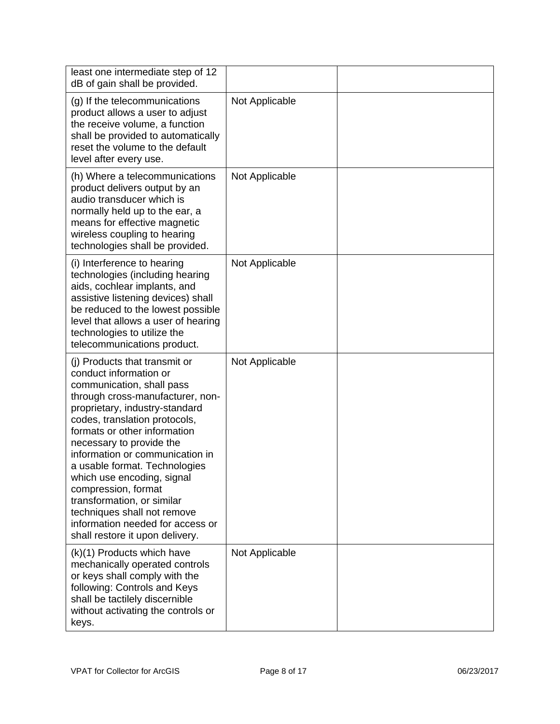| least one intermediate step of 12<br>dB of gain shall be provided.                                                                                                                                                                                                                                                                                                                                                                                                                                                   |                |  |
|----------------------------------------------------------------------------------------------------------------------------------------------------------------------------------------------------------------------------------------------------------------------------------------------------------------------------------------------------------------------------------------------------------------------------------------------------------------------------------------------------------------------|----------------|--|
| (g) If the telecommunications<br>product allows a user to adjust<br>the receive volume, a function<br>shall be provided to automatically<br>reset the volume to the default<br>level after every use.                                                                                                                                                                                                                                                                                                                | Not Applicable |  |
| (h) Where a telecommunications<br>product delivers output by an<br>audio transducer which is<br>normally held up to the ear, a<br>means for effective magnetic<br>wireless coupling to hearing<br>technologies shall be provided.                                                                                                                                                                                                                                                                                    | Not Applicable |  |
| (i) Interference to hearing<br>technologies (including hearing<br>aids, cochlear implants, and<br>assistive listening devices) shall<br>be reduced to the lowest possible<br>level that allows a user of hearing<br>technologies to utilize the<br>telecommunications product.                                                                                                                                                                                                                                       | Not Applicable |  |
| (i) Products that transmit or<br>conduct information or<br>communication, shall pass<br>through cross-manufacturer, non-<br>proprietary, industry-standard<br>codes, translation protocols,<br>formats or other information<br>necessary to provide the<br>information or communication in<br>a usable format. Technologies<br>which use encoding, signal<br>compression, format<br>transformation, or similar<br>techniques shall not remove<br>information needed for access or<br>shall restore it upon delivery. | Not Applicable |  |
| (k)(1) Products which have<br>mechanically operated controls<br>or keys shall comply with the<br>following: Controls and Keys<br>shall be tactilely discernible<br>without activating the controls or<br>keys.                                                                                                                                                                                                                                                                                                       | Not Applicable |  |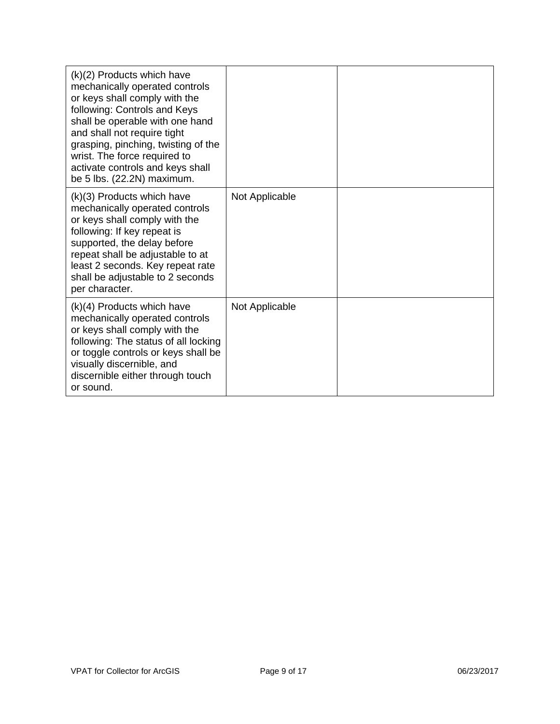| (k)(2) Products which have<br>mechanically operated controls<br>or keys shall comply with the<br>following: Controls and Keys<br>shall be operable with one hand<br>and shall not require tight<br>grasping, pinching, twisting of the<br>wrist. The force required to<br>activate controls and keys shall<br>be 5 lbs. (22.2N) maximum. |                |  |
|------------------------------------------------------------------------------------------------------------------------------------------------------------------------------------------------------------------------------------------------------------------------------------------------------------------------------------------|----------------|--|
| (k)(3) Products which have<br>mechanically operated controls<br>or keys shall comply with the<br>following: If key repeat is<br>supported, the delay before<br>repeat shall be adjustable to at<br>least 2 seconds. Key repeat rate<br>shall be adjustable to 2 seconds<br>per character.                                                | Not Applicable |  |
| $(k)(4)$ Products which have<br>mechanically operated controls<br>or keys shall comply with the<br>following: The status of all locking<br>or toggle controls or keys shall be<br>visually discernible, and<br>discernible either through touch<br>or sound.                                                                             | Not Applicable |  |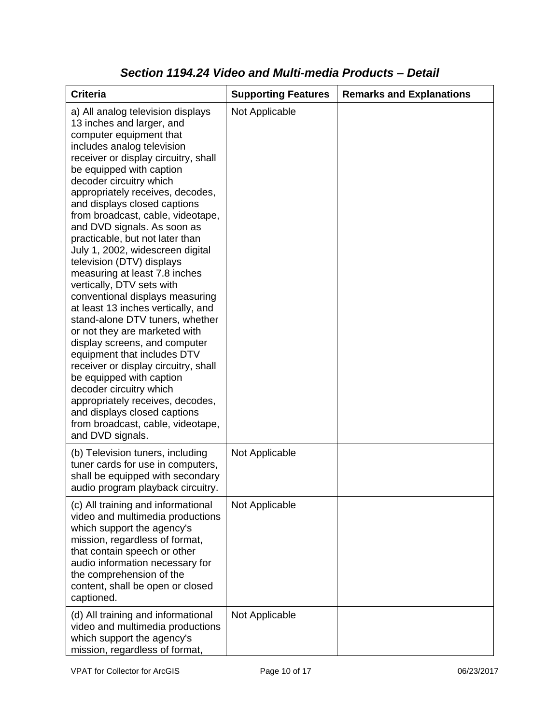| <b>Criteria</b>                                                                                                                                                                                                                                                                                                                                                                                                                                                                                                                                                                                                                                                                                                                                                                                                                                                                                                                                                           | <b>Supporting Features</b> | <b>Remarks and Explanations</b> |
|---------------------------------------------------------------------------------------------------------------------------------------------------------------------------------------------------------------------------------------------------------------------------------------------------------------------------------------------------------------------------------------------------------------------------------------------------------------------------------------------------------------------------------------------------------------------------------------------------------------------------------------------------------------------------------------------------------------------------------------------------------------------------------------------------------------------------------------------------------------------------------------------------------------------------------------------------------------------------|----------------------------|---------------------------------|
| a) All analog television displays<br>13 inches and larger, and<br>computer equipment that<br>includes analog television<br>receiver or display circuitry, shall<br>be equipped with caption<br>decoder circuitry which<br>appropriately receives, decodes,<br>and displays closed captions<br>from broadcast, cable, videotape,<br>and DVD signals. As soon as<br>practicable, but not later than<br>July 1, 2002, widescreen digital<br>television (DTV) displays<br>measuring at least 7.8 inches<br>vertically, DTV sets with<br>conventional displays measuring<br>at least 13 inches vertically, and<br>stand-alone DTV tuners, whether<br>or not they are marketed with<br>display screens, and computer<br>equipment that includes DTV<br>receiver or display circuitry, shall<br>be equipped with caption<br>decoder circuitry which<br>appropriately receives, decodes,<br>and displays closed captions<br>from broadcast, cable, videotape,<br>and DVD signals. | Not Applicable             |                                 |
| (b) Television tuners, including<br>tuner cards for use in computers,<br>shall be equipped with secondary<br>audio program playback circuitry.                                                                                                                                                                                                                                                                                                                                                                                                                                                                                                                                                                                                                                                                                                                                                                                                                            | Not Applicable             |                                 |
| (c) All training and informational<br>video and multimedia productions<br>which support the agency's<br>mission, regardless of format,<br>that contain speech or other<br>audio information necessary for<br>the comprehension of the<br>content, shall be open or closed<br>captioned.                                                                                                                                                                                                                                                                                                                                                                                                                                                                                                                                                                                                                                                                                   | Not Applicable             |                                 |
| (d) All training and informational<br>video and multimedia productions<br>which support the agency's<br>mission, regardless of format,                                                                                                                                                                                                                                                                                                                                                                                                                                                                                                                                                                                                                                                                                                                                                                                                                                    | Not Applicable             |                                 |

### *Section 1194.24 Video and Multi-media Products – Detail*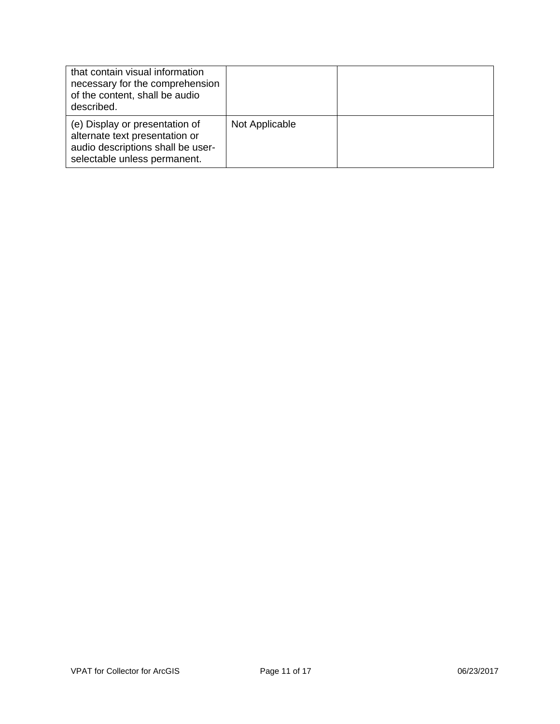| that contain visual information<br>necessary for the comprehension<br>of the content, shall be audio<br>described.                    |                |  |
|---------------------------------------------------------------------------------------------------------------------------------------|----------------|--|
| (e) Display or presentation of<br>alternate text presentation or<br>audio descriptions shall be user-<br>selectable unless permanent. | Not Applicable |  |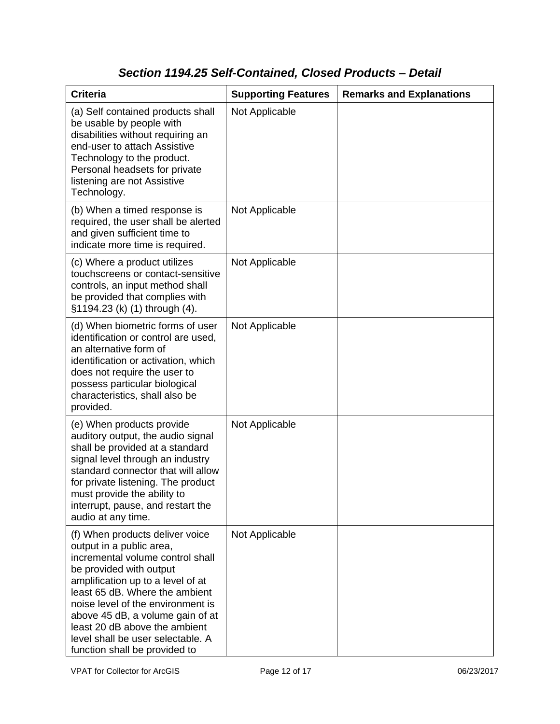# *Section 1194.25 Self-Contained, Closed Products – Detail*

| <b>Criteria</b>                                                                                                                                                                                                                                                                                                                                                                   | <b>Supporting Features</b> | <b>Remarks and Explanations</b> |
|-----------------------------------------------------------------------------------------------------------------------------------------------------------------------------------------------------------------------------------------------------------------------------------------------------------------------------------------------------------------------------------|----------------------------|---------------------------------|
| (a) Self contained products shall<br>be usable by people with<br>disabilities without requiring an<br>end-user to attach Assistive<br>Technology to the product.<br>Personal headsets for private<br>listening are not Assistive<br>Technology.                                                                                                                                   | Not Applicable             |                                 |
| (b) When a timed response is<br>required, the user shall be alerted<br>and given sufficient time to<br>indicate more time is required.                                                                                                                                                                                                                                            | Not Applicable             |                                 |
| (c) Where a product utilizes<br>touchscreens or contact-sensitive<br>controls, an input method shall<br>be provided that complies with<br>§1194.23 (k) (1) through (4).                                                                                                                                                                                                           | Not Applicable             |                                 |
| (d) When biometric forms of user<br>identification or control are used,<br>an alternative form of<br>identification or activation, which<br>does not require the user to<br>possess particular biological<br>characteristics, shall also be<br>provided.                                                                                                                          | Not Applicable             |                                 |
| (e) When products provide<br>auditory output, the audio signal<br>shall be provided at a standard<br>signal level through an industry<br>standard connector that will allow<br>for private listening. The product<br>must provide the ability to<br>interrupt, pause, and restart the<br>audio at any time.                                                                       | Not Applicable             |                                 |
| (f) When products deliver voice<br>output in a public area,<br>incremental volume control shall<br>be provided with output<br>amplification up to a level of at<br>least 65 dB. Where the ambient<br>noise level of the environment is<br>above 45 dB, a volume gain of at<br>least 20 dB above the ambient<br>level shall be user selectable. A<br>function shall be provided to | Not Applicable             |                                 |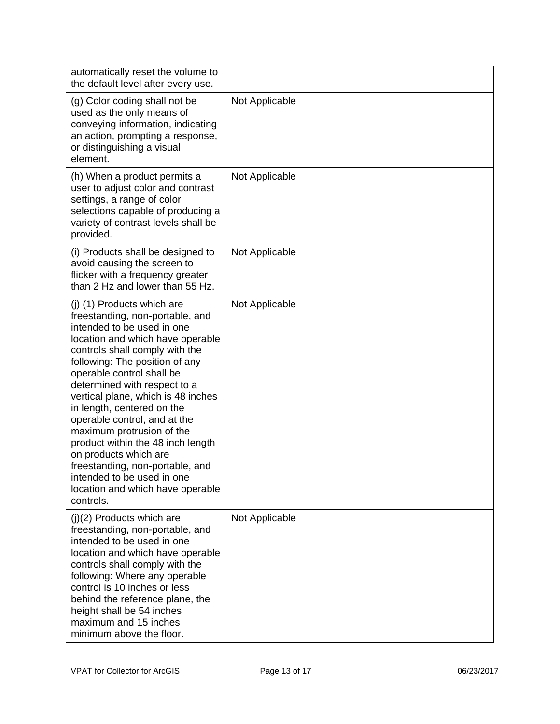| automatically reset the volume to<br>the default level after every use.                                                                                                                                                                                                                                                                                                                                                                                                                                                                                                           |                |  |
|-----------------------------------------------------------------------------------------------------------------------------------------------------------------------------------------------------------------------------------------------------------------------------------------------------------------------------------------------------------------------------------------------------------------------------------------------------------------------------------------------------------------------------------------------------------------------------------|----------------|--|
| (g) Color coding shall not be<br>used as the only means of<br>conveying information, indicating<br>an action, prompting a response,<br>or distinguishing a visual<br>element.                                                                                                                                                                                                                                                                                                                                                                                                     | Not Applicable |  |
| (h) When a product permits a<br>user to adjust color and contrast<br>settings, a range of color<br>selections capable of producing a<br>variety of contrast levels shall be<br>provided.                                                                                                                                                                                                                                                                                                                                                                                          | Not Applicable |  |
| (i) Products shall be designed to<br>avoid causing the screen to<br>flicker with a frequency greater<br>than 2 Hz and lower than 55 Hz.                                                                                                                                                                                                                                                                                                                                                                                                                                           | Not Applicable |  |
| (j) (1) Products which are<br>freestanding, non-portable, and<br>intended to be used in one<br>location and which have operable<br>controls shall comply with the<br>following: The position of any<br>operable control shall be<br>determined with respect to a<br>vertical plane, which is 48 inches<br>in length, centered on the<br>operable control, and at the<br>maximum protrusion of the<br>product within the 48 inch length<br>on products which are<br>freestanding, non-portable, and<br>intended to be used in one<br>location and which have operable<br>controls. | Not Applicable |  |
| $(j)(2)$ Products which are<br>freestanding, non-portable, and<br>intended to be used in one<br>location and which have operable<br>controls shall comply with the<br>following: Where any operable<br>control is 10 inches or less<br>behind the reference plane, the<br>height shall be 54 inches<br>maximum and 15 inches<br>minimum above the floor.                                                                                                                                                                                                                          | Not Applicable |  |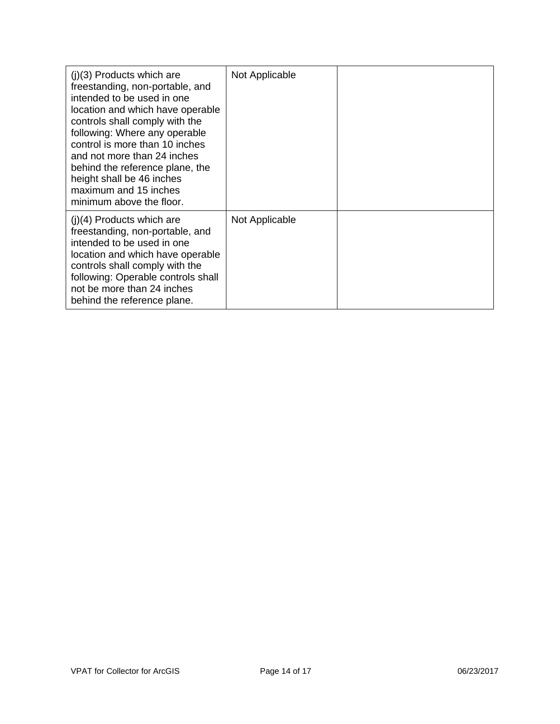| $(i)(3)$ Products which are<br>freestanding, non-portable, and<br>intended to be used in one<br>location and which have operable<br>controls shall comply with the<br>following: Where any operable<br>control is more than 10 inches<br>and not more than 24 inches<br>behind the reference plane, the<br>height shall be 46 inches<br>maximum and 15 inches<br>minimum above the floor. | Not Applicable |  |
|-------------------------------------------------------------------------------------------------------------------------------------------------------------------------------------------------------------------------------------------------------------------------------------------------------------------------------------------------------------------------------------------|----------------|--|
| $(i)(4)$ Products which are<br>freestanding, non-portable, and<br>intended to be used in one<br>location and which have operable<br>controls shall comply with the<br>following: Operable controls shall<br>not be more than 24 inches<br>behind the reference plane.                                                                                                                     | Not Applicable |  |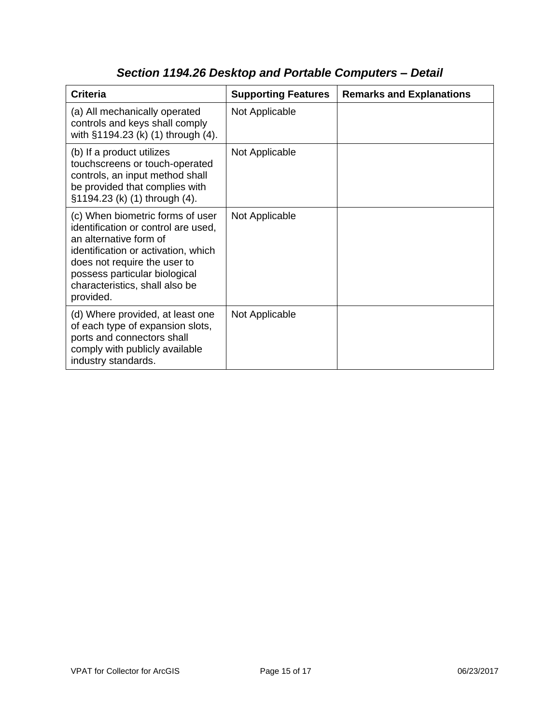| <b>Criteria</b>                                                                                                                                                                                                                                          | <b>Supporting Features</b> | <b>Remarks and Explanations</b> |
|----------------------------------------------------------------------------------------------------------------------------------------------------------------------------------------------------------------------------------------------------------|----------------------------|---------------------------------|
| (a) All mechanically operated<br>controls and keys shall comply<br>with §1194.23 (k) (1) through (4).                                                                                                                                                    | Not Applicable             |                                 |
| (b) If a product utilizes<br>touchscreens or touch-operated<br>controls, an input method shall<br>be provided that complies with<br>§1194.23 (k) (1) through (4).                                                                                        | Not Applicable             |                                 |
| (c) When biometric forms of user<br>identification or control are used,<br>an alternative form of<br>identification or activation, which<br>does not require the user to<br>possess particular biological<br>characteristics, shall also be<br>provided. | Not Applicable             |                                 |
| (d) Where provided, at least one<br>of each type of expansion slots,<br>ports and connectors shall<br>comply with publicly available<br>industry standards.                                                                                              | Not Applicable             |                                 |

# *Section 1194.26 Desktop and Portable Computers – Detail*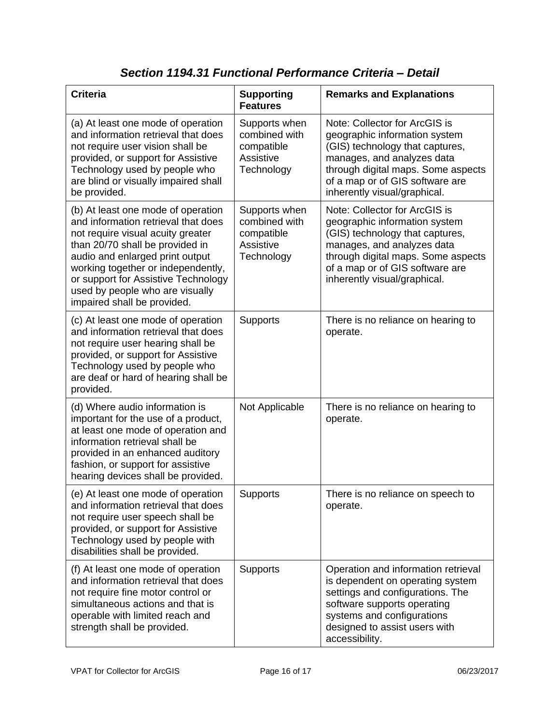| <b>Criteria</b>                                                                                                                                                                                                                                                                                                                     | <b>Supporting</b><br><b>Features</b>                                    | <b>Remarks and Explanations</b>                                                                                                                                                                                                          |
|-------------------------------------------------------------------------------------------------------------------------------------------------------------------------------------------------------------------------------------------------------------------------------------------------------------------------------------|-------------------------------------------------------------------------|------------------------------------------------------------------------------------------------------------------------------------------------------------------------------------------------------------------------------------------|
| (a) At least one mode of operation<br>and information retrieval that does<br>not require user vision shall be<br>provided, or support for Assistive<br>Technology used by people who<br>are blind or visually impaired shall<br>be provided.                                                                                        | Supports when<br>combined with<br>compatible<br>Assistive<br>Technology | Note: Collector for ArcGIS is<br>geographic information system<br>(GIS) technology that captures,<br>manages, and analyzes data<br>through digital maps. Some aspects<br>of a map or of GIS software are<br>inherently visual/graphical. |
| (b) At least one mode of operation<br>and information retrieval that does<br>not require visual acuity greater<br>than 20/70 shall be provided in<br>audio and enlarged print output<br>working together or independently,<br>or support for Assistive Technology<br>used by people who are visually<br>impaired shall be provided. | Supports when<br>combined with<br>compatible<br>Assistive<br>Technology | Note: Collector for ArcGIS is<br>geographic information system<br>(GIS) technology that captures,<br>manages, and analyzes data<br>through digital maps. Some aspects<br>of a map or of GIS software are<br>inherently visual/graphical. |
| (c) At least one mode of operation<br>and information retrieval that does<br>not require user hearing shall be<br>provided, or support for Assistive<br>Technology used by people who<br>are deaf or hard of hearing shall be<br>provided.                                                                                          | <b>Supports</b>                                                         | There is no reliance on hearing to<br>operate.                                                                                                                                                                                           |
| (d) Where audio information is<br>important for the use of a product,<br>at least one mode of operation and<br>information retrieval shall be<br>provided in an enhanced auditory<br>fashion, or support for assistive<br>hearing devices shall be provided.                                                                        | Not Applicable                                                          | There is no reliance on hearing to<br>operate.                                                                                                                                                                                           |
| (e) At least one mode of operation<br>and information retrieval that does<br>not require user speech shall be<br>provided, or support for Assistive<br>Technology used by people with<br>disabilities shall be provided.                                                                                                            | <b>Supports</b>                                                         | There is no reliance on speech to<br>operate.                                                                                                                                                                                            |
| (f) At least one mode of operation<br>and information retrieval that does<br>not require fine motor control or<br>simultaneous actions and that is<br>operable with limited reach and<br>strength shall be provided.                                                                                                                | Supports                                                                | Operation and information retrieval<br>is dependent on operating system<br>settings and configurations. The<br>software supports operating<br>systems and configurations<br>designed to assist users with<br>accessibility.              |

#### *Section 1194.31 Functional Performance Criteria – Detail*